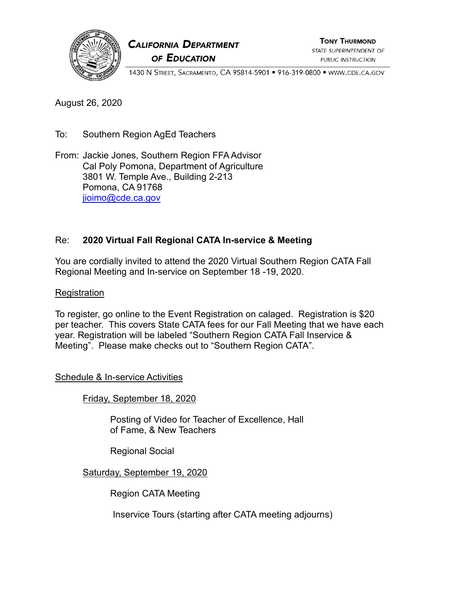

# **CALIFORNIA DEPARTMENT** OF EDUCATION

**TONY THURMOND** STATE SUPERINTENDENT OF PUBLIC INSTRUCTION

1430 N STREET, SACRAMENTO, CA 95814-5901 · 916-319-0800 · WWW.CDE.CA.GOV

August 26, 2020

To: Southern Region AgEd Teachers

From: Jackie Jones, Southern Region FFAAdvisor Cal Poly Pomona, Department of Agriculture 3801 W. Temple Ave., Building 2-213 Pomona, CA 91768 [jioimo@cde.ca.gov](mailto:jioimo@cde.ca.gov)

## Re: **2020 Virtual Fall Regional CATA In-service & Meeting**

You are cordially invited to attend the 2020 Virtual Southern Region CATA Fall Regional Meeting and In-service on September 18 -19, 2020.

#### **Registration**

To register, go online to the Event Registration on calaged. Registration is \$20 per teacher. This covers State CATA fees for our Fall Meeting that we have each year. Registration will be labeled "Southern Region CATA Fall Inservice & Meeting". Please make checks out to "Southern Region CATA".

#### Schedule & In-service Activities

Friday, September 18, 2020

Posting of Video for Teacher of Excellence, Hall of Fame, & New Teachers

Regional Social

#### Saturday, September 19, 2020

Region CATA Meeting

Inservice Tours (starting after CATA meeting adjourns)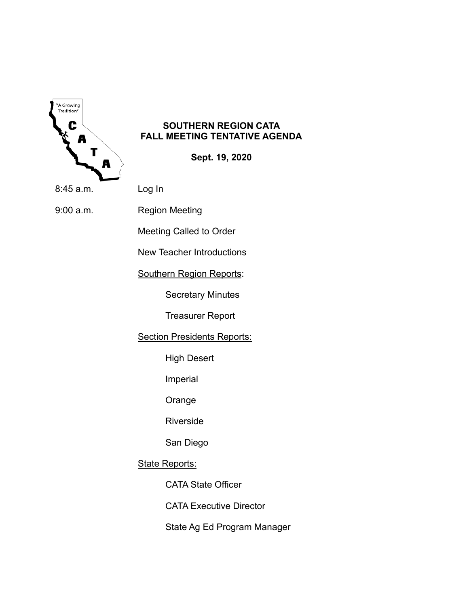

### **SOUTHERN REGION CATA FALL MEETING TENTATIVE AGENDA**

**Sept. 19, 2020**

8:45 a.m. Log In

9:00 a.m. Region Meeting

Meeting Called to Order

New Teacher Introductions

Southern Region Reports:

Secretary Minutes

Treasurer Report

**Section Presidents Reports:** 

High Desert

Imperial

Orange

Riverside

San Diego

**State Reports:** 

CATA State Officer

CATA Executive Director

State Ag Ed Program Manager